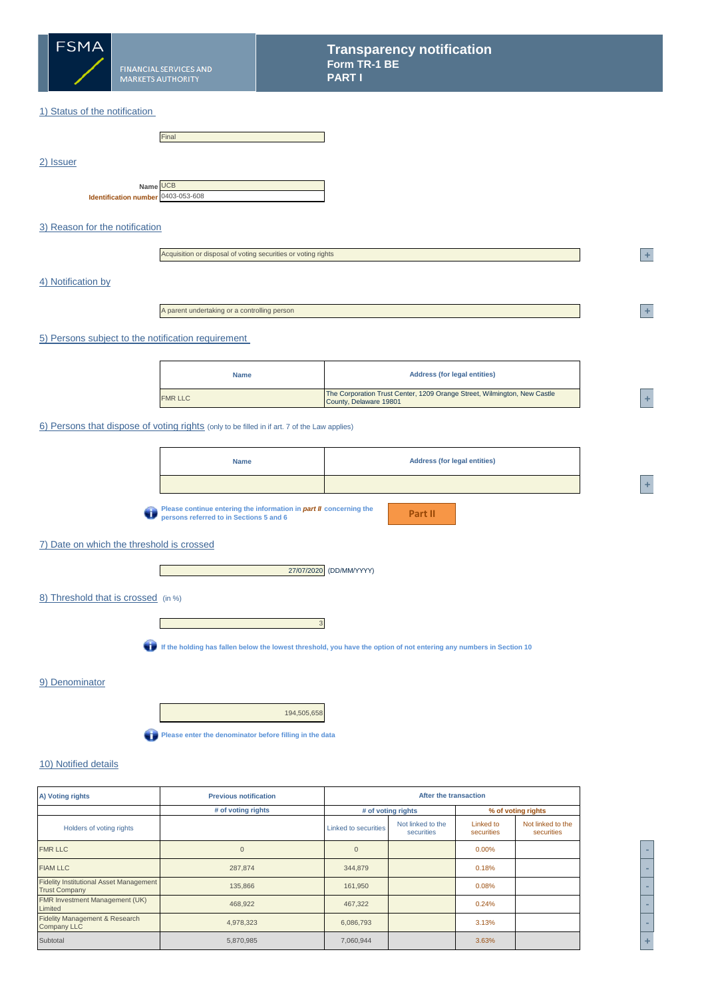

## 1) Status of the notification

|           |                                                | Final |
|-----------|------------------------------------------------|-------|
| 2) Issuer |                                                |       |
|           | Name UCB<br>Identification number 0403-053-608 |       |

# 3) Reason for the notification

| Acquisition or disposal of voting securities or voting rights |
|---------------------------------------------------------------|
|---------------------------------------------------------------|

## 4) Notification by

A parent undertaking or a controlling person

#### 5) Persons subject to the notification requirement

| <b>Name</b>    | <b>Address (for legal entities)</b>                                                                |  |
|----------------|----------------------------------------------------------------------------------------------------|--|
| <b>FMR LLC</b> | The Corporation Trust Center, 1209 Orange Street, Wilmington, New Castle<br>County, Delaware 19801 |  |

### 6) Persons that dispose of voting rights (only to be filled in if art. 7 of the Law applies)

**Please continue entering the information in** *part II* **concerning the persons referred to in Sections 5 and 6**

**Part II**

# 7) Date on which the threshold is crossed

 $\mathbb{R}^n$ 



## 8) Threshold that is crossed (in %)



**If the holding has fallen below the lowest threshold, you have the option of not entering any numbers in Section 10**

#### 9) Denominator

194,505,658 **Please enter the denominator before filling in the data** 

# 10) Notified details

| A) Voting rights                                                       | <b>Previous notification</b> |                      | After the transaction           |                         |                                 |  |  |
|------------------------------------------------------------------------|------------------------------|----------------------|---------------------------------|-------------------------|---------------------------------|--|--|
|                                                                        | # of voting rights           |                      | # of voting rights              |                         | % of voting rights              |  |  |
| Holders of voting rights                                               |                              | Linked to securities | Not linked to the<br>securities | Linked to<br>securities | Not linked to the<br>securities |  |  |
| <b>FMR LLC</b>                                                         | $\Omega$                     | $\Omega$             |                                 | 0.00%                   |                                 |  |  |
| <b>FIAM LLC</b>                                                        | 287,874                      | 344,879              |                                 | 0.18%                   |                                 |  |  |
| <b>Fidelity Institutional Asset Management</b><br><b>Trust Company</b> | 135,866                      | 161,950              |                                 | 0.08%                   |                                 |  |  |
| FMR Investment Management (UK)<br>Limited                              | 468,922                      | 467,322              |                                 | 0.24%                   |                                 |  |  |
| Fidelity Management & Research<br><b>Company LLC</b>                   | 4,978,323                    | 6,086,793            |                                 | 3.13%                   |                                 |  |  |
| Subtotal                                                               | 5,870,985                    | 7,060,944            |                                 | 3.63%                   |                                 |  |  |

**<sup>2</sup> +** 

**<sup>2</sup> +** 

**<sup>A</sup> +**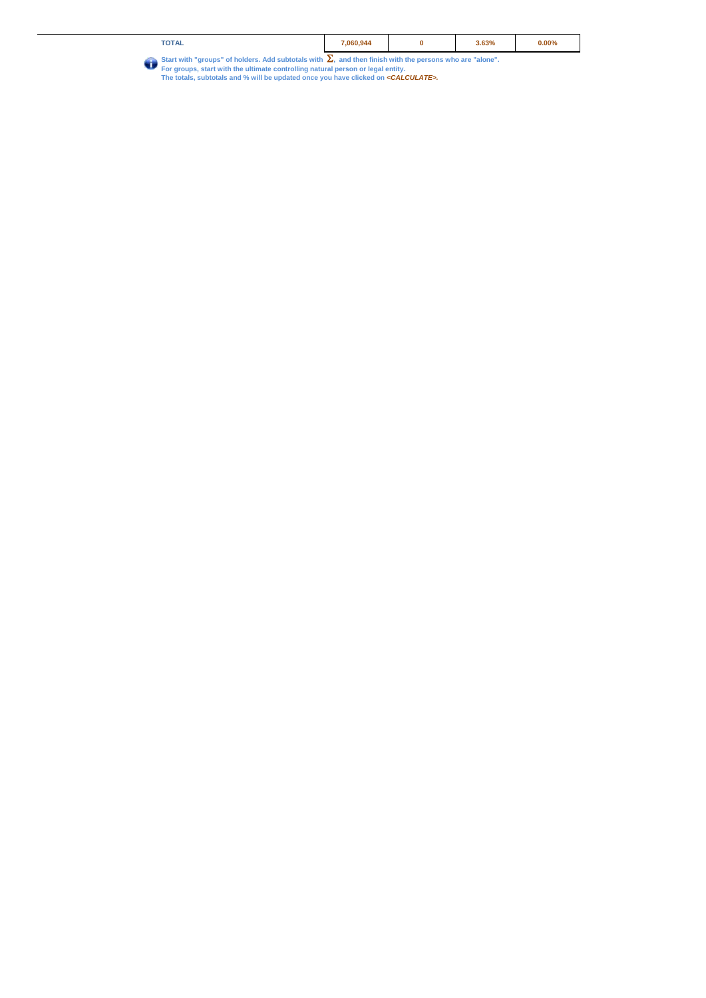| <b>TOTAL</b>                                                                                           | 060.944 | 3.63% | $0.00\%$ |
|--------------------------------------------------------------------------------------------------------|---------|-------|----------|
| Charles uith "grassna" of bolders, Add oubtatels with and then finish with the nersons who are "slane" |         |       |          |

Start with "groups" of holders. Add subtotals with  $\sum_{n}$  and then finish with the persons who are "alone".<br>For groups, start with the ultimate controlling natural person or legal entity.<br>The totals, subtotals and % will Û